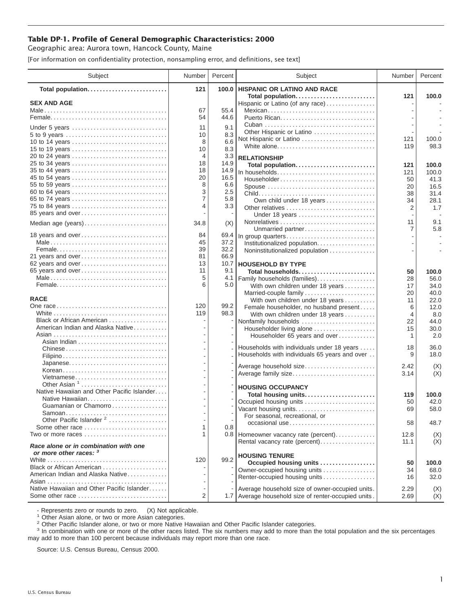## **Table DP-1. Profile of General Demographic Characteristics: 2000**

Geographic area: Aurora town, Hancock County, Maine

[For information on confidentiality protection, nonsampling error, and definitions, see text]

| Subject                                                          | Number | Percent | Subject                                              | Number       | Percent    |
|------------------------------------------------------------------|--------|---------|------------------------------------------------------|--------------|------------|
| Total population                                                 | 121    |         | 100.0 HISPANIC OR LATINO AND RACE                    |              |            |
| <b>SEX AND AGE</b>                                               |        |         | Total population<br>Hispanic or Latino (of any race) | 121          | 100.0      |
|                                                                  | 67     | 55.4    | Mexican                                              |              |            |
|                                                                  | 54     | 44.6    |                                                      |              |            |
|                                                                  | 11     | 9.1     |                                                      |              |            |
| Under 5 years<br>5 to 9 years                                    | 10     | 8.3     | Other Hispanic or Latino                             |              |            |
| 10 to 14 years                                                   | 8      | 6.6     | Not Hispanic or Latino                               | 121          | 100.0      |
| 15 to 19 years                                                   | 10     | 8.3     | White alone                                          | 119          | 98.3       |
| 20 to 24 years                                                   | 4      | 3.3     | <b>RELATIONSHIP</b>                                  |              |            |
| 25 to 34 years                                                   | 18     | 14.9    | Total population                                     | 121          | 100.0      |
| 35 to 44 years                                                   | 18     | 14.9    | In households                                        | 121          | 100.0      |
| 45 to 54 years                                                   | 20     | 16.5    | Householder                                          | 50           | 41.3       |
| 55 to 59 years                                                   | 8      | 6.6     | Spouse                                               | 20           | 16.5       |
| 60 to 64 years                                                   | 3      | 2.5     |                                                      | 38           | 31.4       |
| 65 to 74 years                                                   | 7      | 5.8     | Own child under 18 years                             | 34           | 28.1       |
| 75 to 84 years                                                   | 4      | 3.3     |                                                      | 2            | 1.7        |
| 85 years and over                                                |        |         | Under 18 years                                       |              |            |
| Median age (years)                                               | 34.8   | (X)     |                                                      | 11           | 9.1        |
| 18 years and over                                                | 84     | 69.4    | Unmarried partner                                    | 7            | 5.8        |
|                                                                  | 45     | 37.2    | In group quarters                                    |              |            |
|                                                                  | 39     | 32.2    | Institutionalized population.                        |              |            |
| 21 years and over                                                | 81     | 66.9    | Noninstitutionalized population                      |              |            |
| 62 years and over                                                | 13     | 10.7    | <b>HOUSEHOLD BY TYPE</b>                             |              |            |
| 65 years and over                                                | 11     | 9.1     | Total households                                     | 50           | 100.0      |
|                                                                  | 5      | 4.1     | Family households (families)                         | 28           | 56.0       |
|                                                                  | 6      | 5.0     | With own children under 18 years                     | 17           | 34.0       |
|                                                                  |        |         | Married-couple family                                | 20           | 40.0       |
| <b>RACE</b>                                                      |        |         | With own children under 18 years                     | 11           | 22.0       |
|                                                                  | 120    | 99.2    | Female householder, no husband present               | 6            | 12.0       |
|                                                                  | 119    | 98.3    | With own children under 18 years                     | 4            | 8.0        |
| Black or African American                                        |        |         | Nonfamily households                                 | 22           | 44.0       |
| American Indian and Alaska Native                                |        |         | Householder living alone                             | 15           | 30.0       |
|                                                                  |        |         | Householder 65 years and over                        | 1            | 2.0        |
| Chinese                                                          |        |         | Households with individuals under 18 years           | 18           | 36.0       |
|                                                                  |        |         | Households with individuals 65 years and over        | 9            | 18.0       |
|                                                                  |        |         |                                                      |              |            |
| Korean                                                           |        |         | Average household size                               | 2.42<br>3.14 | (X)<br>(X) |
| Vietnamese                                                       |        |         | Average family size                                  |              |            |
| Other Asian $1, \ldots, \ldots, \ldots, \ldots, \ldots, \ldots$  |        |         | <b>HOUSING OCCUPANCY</b>                             |              |            |
| Native Hawaiian and Other Pacific Islander                       |        |         | Total housing units                                  | 119          | 100.0      |
|                                                                  |        |         | Occupied housing units                               | 50           | 42.0       |
| Guamanian or Chamorro                                            |        |         | Vacant housing units                                 | 69           | 58.0       |
| Other Pacific Islander <sup>2</sup>                              |        |         | For seasonal, recreational, or                       |              |            |
| Some other race $\ldots, \ldots, \ldots, \ldots, \ldots, \ldots$ | 1      | 0.8     | occasional use                                       | 58           | 48.7       |
| Two or more races                                                | 1      |         | 0.8 Homeowner vacancy rate (percent)                 | 12.8         | (X)        |
|                                                                  |        |         | Rental vacancy rate (percent)                        | 11.1         | (X)        |
| Race alone or in combination with one<br>or more other races: 3  |        |         | <b>HOUSING TENURE</b>                                |              |            |
|                                                                  | 120    | 99.2    | Occupied housing units                               | 50           | 100.0      |
| Black or African American                                        |        |         | Owner-occupied housing units                         | 34           | 68.0       |
| American Indian and Alaska Native                                |        |         | Renter-occupied housing units                        | 16           | 32.0       |
|                                                                  |        |         |                                                      |              |            |
| Native Hawaiian and Other Pacific Islander                       |        |         | Average household size of owner-occupied units.      | 2.29         | (X)        |
| Some other race                                                  | 2      |         | 1.7 Average household size of renter-occupied units. | 2.69         | (X)        |

- Represents zero or rounds to zero. (X) Not applicable.<br><sup>1</sup> Other Asian alone, or two or more Asian categories.

<sup>2</sup> Other Pacific Islander alone, or two or more Native Hawaiian and Other Pacific Islander categories.<br><sup>3</sup> In combination with one or more of the other races listed. The six numbers may add to more than the total populati may add to more than 100 percent because individuals may report more than one race.

Source: U.S. Census Bureau, Census 2000.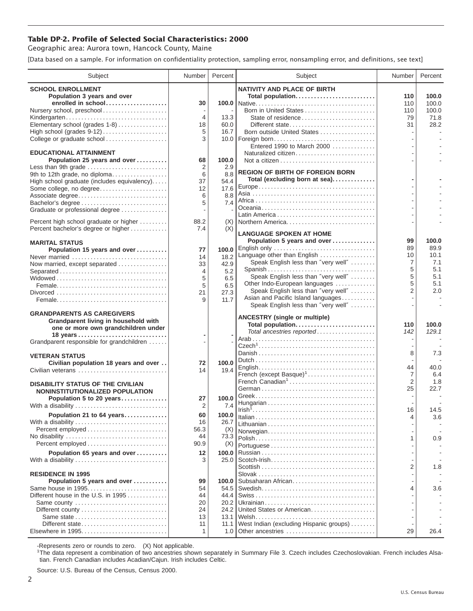## **Table DP-2. Profile of Selected Social Characteristics: 2000**

Geographic area: Aurora town, Hancock County, Maine

[Data based on a sample. For information on confidentiality protection, sampling error, nonsampling error, and definitions, see text]

| Subject                                                                     | Number         | Percent       | Subject                                                                                                         | <b>Number</b>            | Percent    |
|-----------------------------------------------------------------------------|----------------|---------------|-----------------------------------------------------------------------------------------------------------------|--------------------------|------------|
| <b>SCHOOL ENROLLMENT</b><br>Population 3 years and over                     |                |               | <b>NATIVITY AND PLACE OF BIRTH</b><br>Total population                                                          | 110                      | 100.0      |
| enrolled in school                                                          | 30             |               |                                                                                                                 | 110                      | 100.0      |
| Nursery school, preschool                                                   |                |               |                                                                                                                 | 110                      | 100.0      |
| Kindergarten                                                                | $\overline{4}$ | 13.3          | State of residence                                                                                              | 79                       | 71.8       |
| Elementary school (grades 1-8)<br>High school (grades 9-12)                 | 18<br>5        | 60.0<br>16.7  | Different state<br>Born outside United States                                                                   | 31                       | 28.2       |
| College or graduate school                                                  | 3              |               |                                                                                                                 |                          |            |
|                                                                             |                |               | Entered 1990 to March 2000                                                                                      |                          |            |
| <b>EDUCATIONAL ATTAINMENT</b>                                               |                |               | Naturalized citizen                                                                                             |                          |            |
| Population 25 years and over                                                | 68             | 100.0         |                                                                                                                 |                          |            |
| Less than 9th grade<br>9th to 12th grade, no diploma                        | 2<br>6         | 2.9<br>8.8    | <b>REGION OF BIRTH OF FOREIGN BORN</b>                                                                          |                          |            |
| High school graduate (includes equivalency)                                 | 37             | 54.4          | Total (excluding born at sea)                                                                                   |                          |            |
| Some college, no degree                                                     | 12             | 17.6          |                                                                                                                 |                          |            |
| Associate degree                                                            | 6              | 8.8           |                                                                                                                 |                          |            |
|                                                                             | 5              | 7.4           |                                                                                                                 |                          |            |
| Graduate or professional degree                                             |                |               |                                                                                                                 |                          |            |
| Percent high school graduate or higher                                      | 88.2           | (X)           | Northern America                                                                                                |                          |            |
| Percent bachelor's degree or higher                                         | 7.4            | (X)           | <b>LANGUAGE SPOKEN AT HOME</b>                                                                                  |                          |            |
| <b>MARITAL STATUS</b>                                                       |                |               | Population 5 years and over                                                                                     | 99                       | 100.0      |
| Population 15 years and over                                                | 77             | 100.0         | English only                                                                                                    | 89                       | 89.9       |
| Never married                                                               | 14             | 18.2          | Language other than English                                                                                     | 10                       | 10.1       |
| Now married, except separated                                               | 33             | 42.9          | Speak English less than "very well"                                                                             | 7                        | 7.1        |
| Separated                                                                   | 4              | 5.2           | Spanish<br>Speak English less than "very well"                                                                  | 5<br>5                   | 5.1<br>5.1 |
|                                                                             | 5<br>5         | 6.5           | Other Indo-European languages                                                                                   | 5                        | 5.1        |
|                                                                             | 21             | 6.5<br>27.3   | Speak English less than "very well"                                                                             | $\overline{2}$           | 2.0        |
|                                                                             | 9              | 11.7          | Asian and Pacific Island languages                                                                              |                          |            |
|                                                                             |                |               | Speak English less than "very well"                                                                             |                          |            |
| <b>GRANDPARENTS AS CAREGIVERS</b>                                           |                |               | <b>ANCESTRY (single or multiple)</b>                                                                            |                          |            |
| Grandparent living in household with<br>one or more own grandchildren under |                |               | Total population                                                                                                | 110                      | 100.0      |
|                                                                             |                |               | Total ancestries reported                                                                                       | 142                      | 129.1      |
| Grandparent responsible for grandchildren                                   |                |               |                                                                                                                 | $\overline{\phantom{a}}$ |            |
|                                                                             |                |               |                                                                                                                 | 8                        | 7.3        |
| <b>VETERAN STATUS</b>                                                       |                |               |                                                                                                                 |                          |            |
| Civilian population 18 years and over<br>Civilian veterans                  | 72<br>14       | 100.0<br>19.4 |                                                                                                                 | 44                       | 40.0       |
|                                                                             |                |               | French (except Basque) <sup>1</sup>                                                                             | $\overline{7}$           | 6.4        |
| <b>DISABILITY STATUS OF THE CIVILIAN</b>                                    |                |               | French Canadian <sup>1</sup>                                                                                    | 2                        | 1.8        |
| NONINSTITUTIONALIZED POPULATION                                             |                |               |                                                                                                                 | 25                       | 22.7       |
| Population 5 to 20 years                                                    | 27             | 100.0         |                                                                                                                 |                          |            |
| With a disability                                                           | 2              | 7.4           | $\left  \text{Irish}^{\bar{1}}, \ldots, \ldots, \ldots, \ldots, \ldots, \ldots, \ldots, \ldots, \ldots \right $ | 16                       | 14.5       |
| Population 21 to 64 years<br>With a disability                              | 60<br>16       | 100.0<br>26.7 |                                                                                                                 |                          | 3.6        |
|                                                                             | 56.3           | (X)           |                                                                                                                 |                          |            |
| No disability                                                               | 44             | 73.3          | Norwegian                                                                                                       |                          | 0.9        |
| Percent employed                                                            | 90.9           | (X)           |                                                                                                                 |                          |            |
| Population 65 years and over                                                | 12             | 100.0         |                                                                                                                 |                          |            |
| With a disability                                                           | 3              | 25.0          |                                                                                                                 |                          |            |
| <b>RESIDENCE IN 1995</b>                                                    |                |               |                                                                                                                 | $\overline{2}$           | 1.8        |
| Population 5 years and over                                                 | 99             | 100.0         | Subsaharan African                                                                                              |                          |            |
| Same house in 1995                                                          | 54             | 54.5          |                                                                                                                 | 4                        | 3.6        |
| Different house in the U.S. in 1995                                         | 44             | 44.4          |                                                                                                                 |                          |            |
| Same county                                                                 | 20             | 20.2          |                                                                                                                 |                          |            |
| Different county                                                            | 24             | 24.2          | United States or American                                                                                       |                          |            |
| Same state<br>Different state                                               | 13<br>11       | 13.1<br>11.1  | West Indian (excluding Hispanic groups)                                                                         |                          |            |
|                                                                             | 1              | 1.0           | Other ancestries                                                                                                | 29                       | 26.4       |
|                                                                             |                |               |                                                                                                                 |                          |            |

-Represents zero or rounds to zero. (X) Not applicable. 1 The data represent a combination of two ancestries shown separately in Summary File 3. Czech includes Czechoslovakian. French includes Alsatian. French Canadian includes Acadian/Cajun. Irish includes Celtic.

Source: U.S. Bureau of the Census, Census 2000.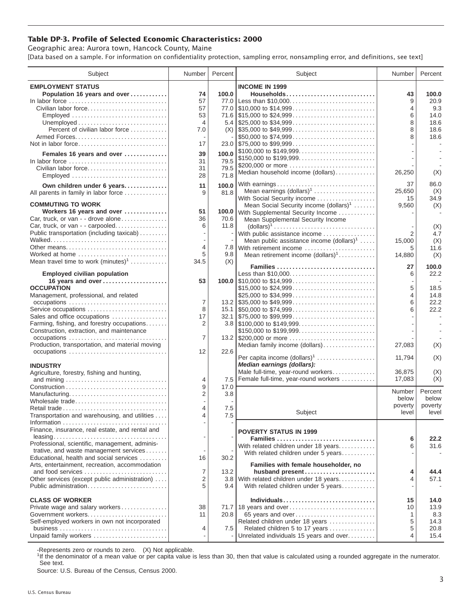## **Table DP-3. Profile of Selected Economic Characteristics: 2000**

Geographic area: Aurora town, Hancock County, Maine [Data based on a sample. For information on confidentiality protection, sampling error, nonsampling error, and definitions, see text]

| Subject                                                                                                                                                                                                                | Number                                             | Percent                | Subject                                                                                                                                                                    | Number                              | Percent                                              |
|------------------------------------------------------------------------------------------------------------------------------------------------------------------------------------------------------------------------|----------------------------------------------------|------------------------|----------------------------------------------------------------------------------------------------------------------------------------------------------------------------|-------------------------------------|------------------------------------------------------|
| <b>EMPLOYMENT STATUS</b><br>Population 16 years and over<br>In labor force<br>Civilian labor force<br>Employed<br>Percent of civilian labor force<br>Not in labor force<br>Females 16 years and over<br>In labor force | 74<br>57<br>57<br>53<br>4<br>7.0<br>17<br>39<br>31 | 100.0<br>100.0<br>79.5 | <b>INCOME IN 1999</b><br>Households<br>77.0 Less than \$10,000<br>\$50,000 to \$74,999<br>\$100,000 to \$149,999<br>\$150,000 to \$199,999                                 | 43<br>9<br>4<br>6<br>8<br>8<br>8    | 100.0<br>20.9<br>9.3<br>14.0<br>18.6<br>18.6<br>18.6 |
| Civilian labor force<br>Employed                                                                                                                                                                                       | 31<br>28                                           | 79.5<br>71.8           | \$200,000 or more<br>Median household income (dollars)                                                                                                                     | 26,250                              | (X)                                                  |
| Own children under 6 years<br>All parents in family in labor force                                                                                                                                                     | 11<br>9                                            | 100.0<br>81.8          | With earnings<br>Mean earnings $(dollars)1$<br>With Social Security income                                                                                                 | 37<br>25,650<br>15                  | 86.0<br>(X)<br>34.9                                  |
| <b>COMMUTING TO WORK</b><br>Workers 16 years and over<br>Car, truck, or van - - drove alone<br>Car, truck, or van - - carpooled<br>Public transportation (including taxicab)                                           | 51<br>36<br>6                                      | 70.6<br>11.8           | Mean Social Security income (dollars) <sup>1</sup><br>100.0 With Supplemental Security Income<br>Mean Supplemental Security Income<br>With public assistance income        | 9,560<br>2                          | (X)<br>(X)<br>4.7                                    |
| Other means<br>Worked at home<br>Mean travel time to work $(minutes)^1$                                                                                                                                                | 4<br>5<br>34.5                                     | 9.8<br>(X)             | Mean public assistance income $(dollars)^1 \ldots$ .<br>7.8 With retirement income<br>Mean retirement income (dollars) <sup>1</sup><br>Families                            | 15.000<br>5<br>14,880<br>27         | (X)<br>11.6<br>(X)<br>100.0                          |
| <b>Employed civilian population</b><br>16 years and over<br><b>OCCUPATION</b><br>Management, professional, and related<br>occupations                                                                                  | 53<br>7                                            |                        | Less than \$10,000<br>\$15,000 to \$24,999                                                                                                                                 | 6<br>5<br>4<br>6                    | 22.2<br>18.5<br>14.8<br>22.2                         |
| Service occupations<br>Sales and office occupations<br>Farming, fishing, and forestry occupations<br>Construction, extraction, and maintenance<br>occupations                                                          | 8<br>17<br>2<br>7                                  |                        | $3.8$   \$100,000 to \$149,999<br>\$150,000 to \$199,999                                                                                                                   | 6                                   | 22.2                                                 |
| Production, transportation, and material moving<br>occupations                                                                                                                                                         | 12                                                 | 22.6                   | Median family income (dollars)<br>Per capita income (dollars) <sup>1</sup>                                                                                                 | 27,083<br>11,794                    | (X)<br>(X)                                           |
| <b>INDUSTRY</b><br>Agriculture, forestry, fishing and hunting,                                                                                                                                                         | 4<br>9                                             | 7.5<br>17.0            | Median earnings (dollars):<br>Male full-time, year-round workers<br>Female full-time, year-round workers                                                                   | 36.875<br>17,083                    | (X)<br>(X)                                           |
| Manufacturing<br>Wholesale trade<br>Retail trade<br>Transportation and warehousing, and utilities                                                                                                                      | $\overline{2}$<br>4                                | 3.8<br>7.5<br>7.5      | Subject                                                                                                                                                                    | Number<br>below<br>poverty<br>level | Percent<br>below<br>poverty<br>level                 |
| Finance, insurance, real estate, and rental and<br>Professional, scientific, management, adminis-<br>trative, and waste management services<br>Educational, health and social services                                 |                                                    | 30.2                   | <b>POVERTY STATUS IN 1999</b><br>Families<br>With related children under 18 years<br>With related children under 5 years                                                   | 6<br>6                              | 22.2<br>31.6                                         |
| Arts, entertainment, recreation, accommodation<br>and food services<br>Other services (except public administration)<br>Public administration                                                                          | 16<br>7<br>2<br>5                                  | 13.2<br>9.4            | Families with female householder, no<br>husband present<br>3.8 With related children under 18 years<br>With related children under 5 years                                 | 4<br>4                              | 44.4<br>57.1                                         |
| <b>CLASS OF WORKER</b><br>Private wage and salary workers<br>Self-employed workers in own not incorporated<br>Unpaid family workers                                                                                    | 38<br>11<br>4                                      | 20.8<br>7.5            | Individuals<br>71.7 18 years and over<br>65 years and over<br>Related children under 18 years<br>Related children 5 to 17 years<br>Unrelated individuals 15 years and over | 15<br>10<br>1<br>5<br>5<br>4        | 14.0<br>13.9<br>8.3<br>14.3<br>20.8<br>15.4          |

-Represents zero or rounds to zero. (X) Not applicable.

<sup>1</sup>If the denominator of a mean value or per capita value is less than 30, then that value is calculated using a rounded aggregate in the numerator. See text.

Source: U.S. Bureau of the Census, Census 2000.